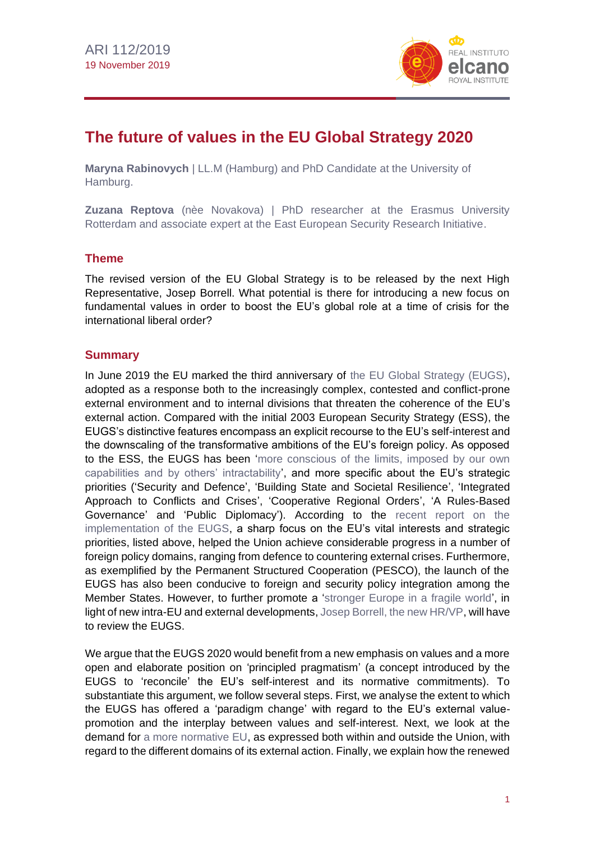

# **The future of values in the EU Global Strategy 2020**

**Maryna Rabinovych** | LL.M (Hamburg) and PhD Candidate at the University of Hamburg.

**Zuzana Reptova** (nèe Novakova) | PhD researcher at the Erasmus University Rotterdam and associate expert at the East European Security Research Initiative.

#### **Theme**

The revised version of the EU Global Strategy is to be released by the next High Representative, Josep Borrell. What potential is there for introducing a new focus on fundamental values in order to boost the EU's global role at a time of crisis for the international liberal order?

#### **Summary**

In June 2019 the EU marked the third anniversary of [the EU Global Strategy \(EUGS\),](https://eeas.europa.eu/topics/eu-global-strategy_en) adopted as a response both to the increasingly complex, contested and conflict-prone external environment and to internal divisions that threaten the coherence of the EU's external action. Compared with the initial 2003 European Security Strategy (ESS), the EUGS's distinctive features encompass an explicit recourse to the EU's self-interest and the downscaling of the transformative ambitions of the EU's foreign policy. As opposed to the ESS, the EUGS has been 'more conscious [of the limits, imposed by our own](http://www.egmontinstitute.be/content/uploads/2016/06/SPB75.pdf?type=pdf)  [capabilities and by others' intractability'](http://www.egmontinstitute.be/content/uploads/2016/06/SPB75.pdf?type=pdf), and more specific about the EU's strategic priorities ('Security and Defence', 'Building State and Societal Resilience', 'Integrated Approach to Conflicts and Crises', 'Cooperative Regional Orders', 'A Rules-Based Governance' and 'Public Diplomacy'). According to the [recent report on the](https://eeas.europa.eu/sites/eeas/files/eu_global_strategy_2019.pdf)  [implementation of the EUGS,](https://eeas.europa.eu/sites/eeas/files/eu_global_strategy_2019.pdf) a sharp focus on the EU's vital interests and strategic priorities, listed above, helped the Union achieve considerable progress in a number of foreign policy domains, ranging from defence to countering external crises. Furthermore, as exemplified by the Permanent Structured Cooperation (PESCO), the launch of the EUGS has also been conducive to foreign and security policy integration among the Member States. However, to further promote a ['stronger Europe in a fragile world'](https://www.palgrave.com/gp/book/9783319555850), in light of new intra-EU and external developments, Josep Borrell, [the new HR/VP,](http://www.realinstitutoelcano.org/wps/portal/rielcano_en/contenido?WCM_GLOBAL_CONTEXT=/elcano/elcano_in/zonas_in/ari88-2019-Molina-Simon-strategic-look-position-high-representative-commission-vice-president) will have to review the EUGS.

We argue that the EUGS 2020 would benefit from a new emphasis on values and a more open and elaborate position on 'principled pragmatism' (a concept introduced by the EUGS to 'reconcile' the EU's self-interest and its normative commitments). To substantiate this argument, we follow several steps. First, we analyse the extent to which the EUGS has offered a 'paradigm change' with regard to the EU's external valuepromotion and the interplay between values and self-interest. Next, we look at the demand for [a more normative EU,](https://blog.realinstitutoelcano.org/en/the-eus-global-normative-influence/) as expressed both within and outside the Union, with regard to the different domains of its external action. Finally, we explain how the renewed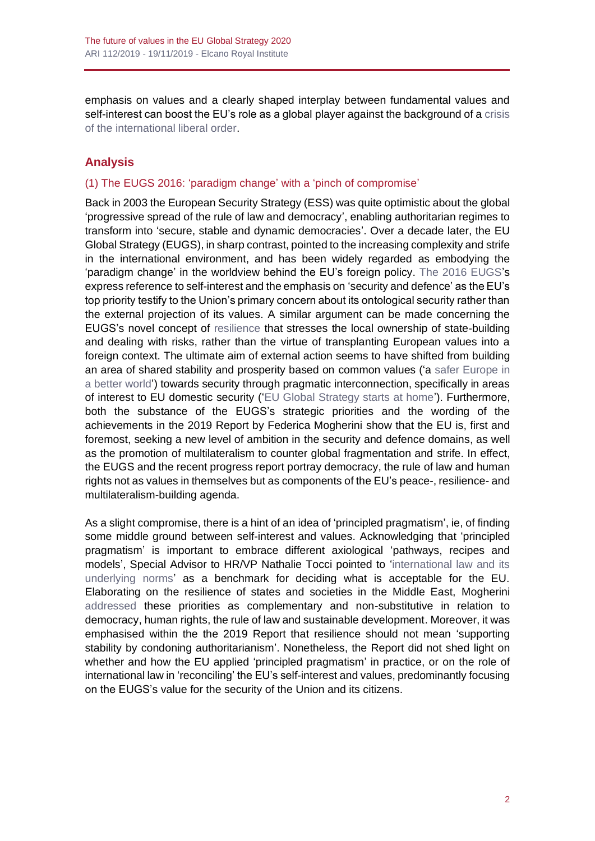emphasis on values and a clearly shaped interplay between fundamental values and self-interest can boost the EU's role as a global player against the background of a crisis [of the international liberal order.](http://www.realinstitutoelcano.org/wps/portal/rielcano_es/contenido?WCM_GLOBAL_CONTEXT=/elcano/elcano_es/zonas_es/ari56-2017-powell-tiene-futuro-orden-liberal-internacional)

## **Analysis**

## (1) The EUGS 2016: 'paradigm change' with a 'pinch of compromise'

Back in 2003 the European Security Strategy (ESS) was quite optimistic about the global 'progressive spread of the rule of law and democracy', enabling authoritarian regimes to transform into 'secure, stable and dynamic democracies'. Over a decade later, the EU Global Strategy (EUGS), in sharp contrast, pointed to the increasing complexity and strife in the international environment, and has been widely regarded as embodying the 'paradigm change' in the worldview behind the EU's foreign policy. [The 2016 EUGS's](http://eeas.europa.eu/archives/docs/top_stories/pdf/eugs_review_web.pdf) express reference to self-interest and the emphasis on 'security and defence' as the EU's top priority testify to the Union's primary concern about its ontological security rather than the external projection of its values. A similar argument can be made concerning the EUGS's novel concept of [resilience](https://www.tandfonline.com/doi/full/10.1080/09662839.2016.1247809) that stresses the local ownership of state-building and dealing with risks, rather than the virtue of transplanting European values into a foreign context. The ultimate aim of external action seems to have shifted from building an area of shared stability and prosperity based on common values ('a [safer Europe in](https://www.consilium.europa.eu/media/30823/qc7809568enc.pdf)  [a better world'](https://www.consilium.europa.eu/media/30823/qc7809568enc.pdf)) towards security through pragmatic interconnection, specifically in areas of interest to EU domestic security (['EU Global Strategy starts at home'](http://eeas.europa.eu/archives/docs/top_stories/pdf/eugs_review_web.pdf)). Furthermore, both the substance of the EUGS's strategic priorities and the wording of the achievements in the 2019 Report by Federica Mogherini show that the EU is, first and foremost, seeking a new level of ambition in the security and defence domains, as well as the promotion of multilateralism to counter global fragmentation and strife. In effect, the EUGS and the recent progress report portray democracy, the rule of law and human rights not as values in themselves but as components of the EU's peace-, resilience- and multilateralism-building agenda.

As a slight compromise, there is a hint of an idea of 'principled pragmatism', ie, of finding some middle ground between self-interest and values. Acknowledging that 'principled pragmatism' is important to embrace different axiological 'pathways, recipes and models', Special Advisor to HR/VP Nathalie Tocci pointed to ['international law and its](https://link.springer.com/chapter/10.1007/978-3-319-55586-7_4)  [underlying norms'](https://link.springer.com/chapter/10.1007/978-3-319-55586-7_4) as a benchmark for deciding what is acceptable for the EU. Elaborating on the resilience of states and societies in the Middle East, Mogherini [addressed](https://eeas.europa.eu/headquarters/headQuarters-homepage/59180/speech-high-representativevice-president-federica-mogherini-final-conference-menara-and_en) these priorities as complementary and non-substitutive in relation to democracy, human rights, the rule of law and sustainable development. Moreover, it was emphasised within the the 2019 Report that resilience should not mean 'supporting stability by condoning authoritarianism'. Nonetheless, the Report did not shed light on whether and how the EU applied 'principled pragmatism' in practice, or on the role of international law in 'reconciling' the EU's self-interest and values, predominantly focusing on the EUGS's value for the security of the Union and its citizens.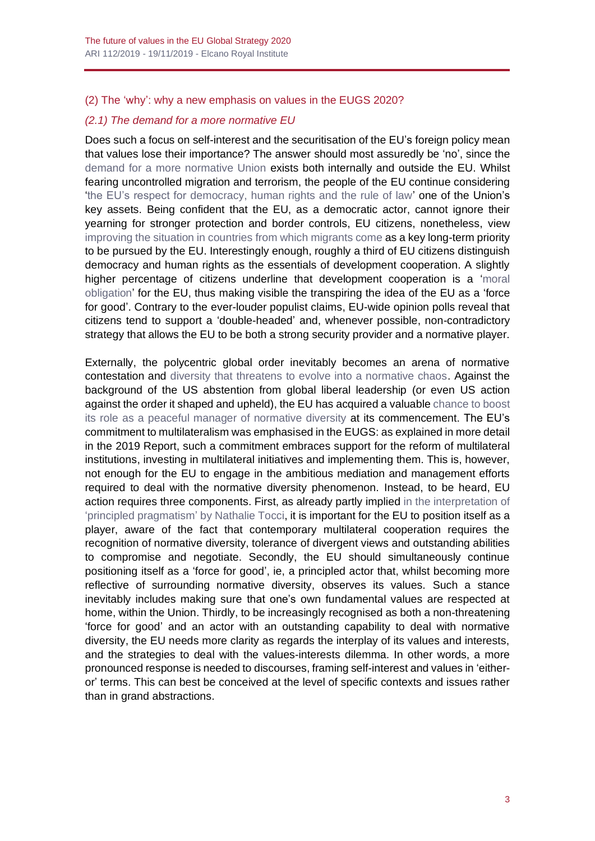## (2) The 'why': why a new emphasis on values in the EUGS 2020?

## *(2.1) The demand for a more normative EU*

Does such a focus on self-interest and the securitisation of the EU's foreign policy mean that values lose their importance? The answer should most assuredly be 'no', since the [demand for a more normative Union](https://blog.realinstitutoelcano.org/en/europe-strengthens-the-rule-of-law/) exists both internally and outside the EU. Whilst fearing uncontrolled migration and terrorism, the people of the EU continue considering ['the EU's respect for democracy, human rights and the rule of law'](http://ec.europa.eu/commfrontoffice/publicopinion/index.cfm/ResultDoc/download/DocumentKy/83543) one of the Union's key assets. Being confident that the EU, as a democratic actor, cannot ignore their yearning for stronger protection and border controls, EU citizens, nonetheless, view [improving the situation in countries from which migrants come](https://ec.europa.eu/europeaid/special-eurobarometer-eu-citizens-and-development-cooperation-2018_en) as a key long-term priority to be pursued by the EU. Interestingly enough, roughly a third of EU citizens distinguish democracy and human rights as the essentials of development cooperation. A slightly higher percentage of citizens underline that development cooperation is a ['moral](https://ec.europa.eu/europeaid/sites/devco/files/sp455-development-aid-final_en.pdf)  [obligation'](https://ec.europa.eu/europeaid/sites/devco/files/sp455-development-aid-final_en.pdf) for the EU, thus making visible the transpiring the idea of the EU as a 'force for good'. Contrary to the ever-louder populist claims, EU-wide opinion polls reveal that citizens tend to support a 'double-headed' and, whenever possible, non-contradictory strategy that allows the EU to be both a strong security provider and a normative player.

Externally, the polycentric global order inevitably becomes an arena of normative contestation and [diversity that threatens to evolve into a normative chaos.](https://espas.secure.europarl.europa.eu/orbis/document/munich-security-report-2017-post-truth-post-west-post-order) Against the background of the US abstention from global liberal leadership (or even US action against the order it shaped and upheld), the EU has acquired a valuable [chance to boost](https://www.tandfonline.com/doi/abs/10.1080/23340460.2019.1584538?af=R&journalCode=rgaf20)  its role as [a peaceful manager of normative diversity](https://www.tandfonline.com/doi/abs/10.1080/23340460.2019.1584538?af=R&journalCode=rgaf20) at its commencement. The EU's commitment to multilateralism was emphasised in the EUGS: as explained in more detail in the 2019 Report, such a commitment embraces support for the reform of multilateral institutions, investing in multilateral initiatives and implementing them. This is, however, not enough for the EU to engage in the ambitious mediation and management efforts required to deal with the normative diversity phenomenon. Instead, to be heard, EU action requires three components. First, as already partly implied [in the interpretation of](https://link.springer.com/chapter/10.1007/978-3-319-55586-7_4)  ['principled pragmatism'](https://link.springer.com/chapter/10.1007/978-3-319-55586-7_4) by Nathalie Tocci, it is important for the EU to position itself as a player, aware of the fact that contemporary multilateral cooperation requires the recognition of normative diversity, tolerance of divergent views and outstanding abilities to compromise and negotiate. Secondly, the EU should simultaneously continue positioning itself as a 'force for good', ie, a principled actor that, whilst becoming more reflective of surrounding normative diversity, observes its values. Such a stance inevitably includes making sure that one's own fundamental values are respected at home, within the Union. Thirdly, to be increasingly recognised as both a non-threatening 'force for good' and an actor with an outstanding capability to deal with normative diversity, the EU needs more clarity as regards the interplay of its values and interests, and the strategies to deal with the values-interests dilemma. In other words, a more pronounced response is needed to discourses, framing self-interest and values in 'eitheror' terms. This can best be conceived at the level of specific contexts and issues rather than in grand abstractions.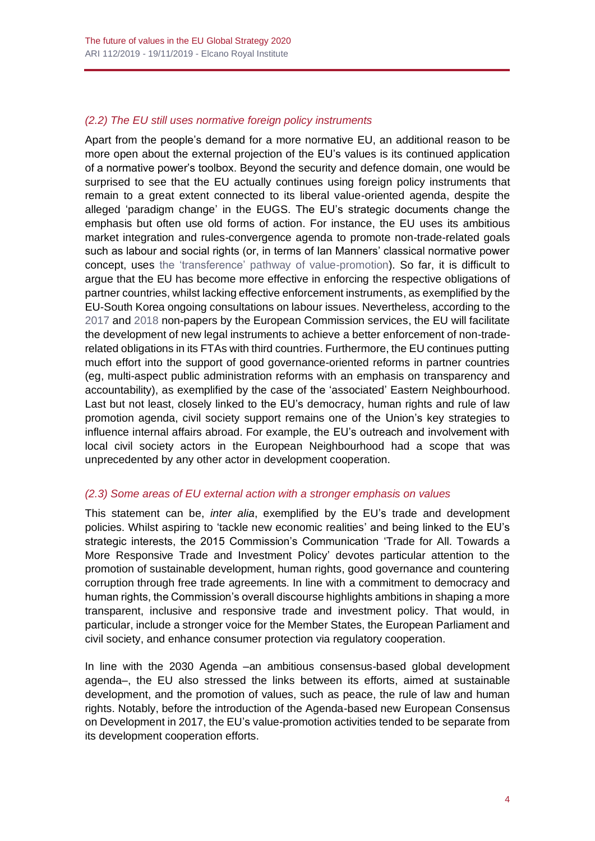## *(2.2) The EU still uses normative foreign policy instruments*

Apart from the people's demand for a more normative EU, an additional reason to be more open about the external projection of the EU's values is its continued application of a normative power's toolbox. Beyond the security and defence domain, one would be surprised to see that the EU actually continues using foreign policy instruments that remain to a great extent connected to its liberal value-oriented agenda, despite the alleged 'paradigm change' in the EUGS. The EU's strategic documents change the emphasis but often use old forms of action. For instance, the EU uses its ambitious market integration and rules-convergence agenda to promote non-trade-related goals such as labour and social rights (or, in terms of Ian Manners' classical normative power concept, uses the 'transference' [pathway of value-promotion\)](https://www.tandfonline.com/doi/abs/10.1080/07036337.2014.990141). So far, it is difficult to argue that the EU has become more effective in enforcing the respective obligations of partner countries, whilst lacking effective enforcement instruments, as exemplified by the EU-South Korea ongoing consultations on labour issues. Nevertheless, according to the [2017](http://trade.ec.europa.eu/doclib/docs/2017/july/tradoc_155686.pdf) and [2018](https://trade.ec.europa.eu/doclib/docs/2018/february/tradoc_156618.pdf) non-papers by the European Commission services, the EU will facilitate the development of new legal instruments to achieve a better enforcement of non-traderelated obligations in its FTAs with third countries. Furthermore, the EU continues putting much effort into the support of good governance-oriented reforms in partner countries (eg, multi-aspect public administration reforms with an emphasis on transparency and accountability), as exemplified by the case of the 'associated' Eastern Neighbourhood. Last but not least, closely linked to the EU's democracy, human rights and rule of law promotion agenda, civil society support remains one of the Union's key strategies to influence internal affairs abroad. For example, the EU's outreach and involvement with local civil society actors in the European Neighbourhood had a scope that was unprecedented by any other actor in development cooperation.

#### *(2.3) Some areas of EU external action with a stronger emphasis on values*

This statement can be, *inter alia*, exemplified by the EU's trade and development policies. Whilst aspiring to 'tackle new economic realities' and being linked to the EU's strategic interests, the 2015 Commission's Communication 'Trade for All. Towards a More Responsive Trade and Investment Policy' devotes particular attention to the promotion of sustainable development, human rights, good governance and countering corruption through free trade agreements. In line with a commitment to democracy and human rights, the Commission's overall discourse highlights ambitions in shaping a more transparent, inclusive and responsive trade and investment policy. That would, in particular, include a stronger voice for the Member States, the European Parliament and civil society, and enhance consumer protection via regulatory cooperation.

In line with the 2030 Agenda –an ambitious consensus-based global development agenda–, the EU also stressed the links between its efforts, aimed at sustainable development, and the promotion of values, such as peace, the rule of law and human rights. Notably, before the introduction of the Agenda-based new European Consensus on Development in 2017, the EU's value-promotion activities tended to be separate from its development cooperation efforts.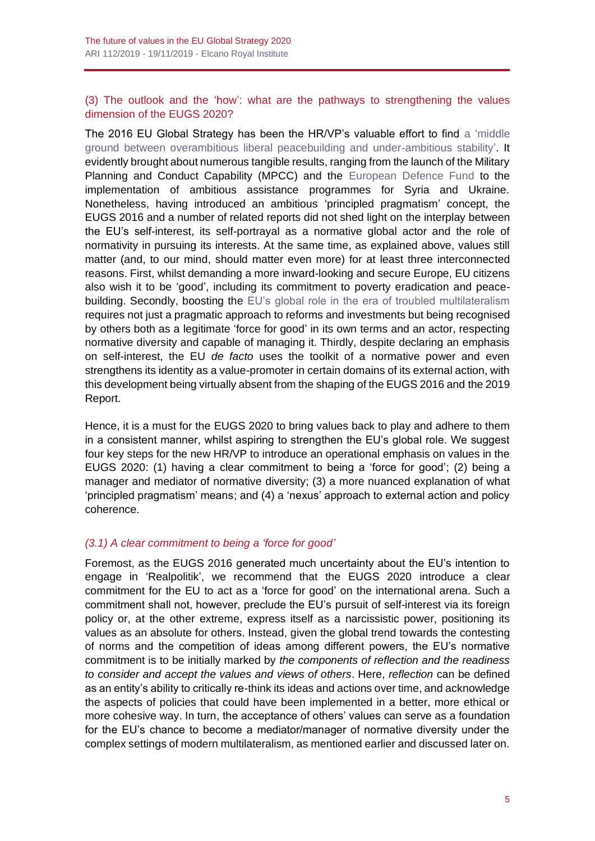#### (3) The outlook and the 'how': what are the pathways to strengthening the values dimension of the EUGS 2020?

The 2016 EU Global Strategy has been the HR/VP's valuable effort to find a ['middle](https://www.tandfonline.com/doi/pdf/10.1080/13523260.2016.1228034)  [ground between overambitious liberal peacebuilding and under-ambitious stability'.](https://www.tandfonline.com/doi/pdf/10.1080/13523260.2016.1228034) It evidently brought about numerous tangible results, ranging from the launch of the Military Planning and Conduct Capability (MPCC) and the [European Defence Fund](http://www.realinstitutoelcano.org/wps/portal/rielcano_en/contenido?WCM_GLOBAL_CONTEXT=/elcano/elcano_in/zonas_in/ari59-2018-lavallee-european-commission-enabler-for-european-security-defence-union) to the implementation of ambitious assistance programmes for Syria and Ukraine. Nonetheless, having introduced an ambitious 'principled pragmatism' concept, the EUGS 2016 and a number of related reports did not shed light on the interplay between the EU's self-interest, its self-portrayal as a normative global actor and the role of normativity in pursuing its interests. At the same time, as explained above, values still matter (and, to our mind, should matter even more) for at least three interconnected reasons. First, whilst demanding a more inward-looking and secure Europe, EU citizens also wish it to be 'good', including its commitment to poverty eradication and peacebuilding. Secondly, boosting the [EU's global role in the era of troubled multilateralism](https://onlinelibrary.wiley.com/doi/10.1111/jcms.12793) requires not just a pragmatic approach to reforms and investments but being recognised by others both as a legitimate 'force for good' in its own terms and an actor, respecting normative diversity and capable of managing it. Thirdly, despite declaring an emphasis on self-interest, the EU *de facto* uses the toolkit of a normative power and even strengthens its identity as a value-promoter in certain domains of its external action, with this development being virtually absent from the shaping of the EUGS 2016 and the 2019 Report.

Hence, it is a must for the EUGS 2020 to bring values back to play and adhere to them in a consistent manner, whilst aspiring to strengthen the EU's global role. We suggest four key steps for the new HR/VP to introduce an operational emphasis on values in the EUGS 2020: (1) having a clear commitment to being a 'force for good'; (2) being a manager and mediator of normative diversity; (3) a more nuanced explanation of what 'principled pragmatism' means; and (4) a 'nexus' approach to external action and policy coherence.

#### *(3.1) A clear commitment to being a 'force for good'*

Foremost, as the EUGS 2016 generated much uncertainty about the EU's intention to engage in 'Realpolitik', we recommend that the EUGS 2020 introduce a clear commitment for the EU to act as a 'force for good' on the international arena. Such a commitment shall not, however, preclude the EU's pursuit of self-interest via its foreign policy or, at the other extreme, express itself as a narcissistic power, positioning its values as an absolute for others. Instead, given the global trend towards the contesting of norms and the competition of ideas among different powers, the EU's normative commitment is to be initially marked by *the components of reflection and the readiness to consider and accept the values and views of others*. Here, *reflection* can be defined as an entity's ability to critically re-think its ideas and actions over time, and acknowledge the aspects of policies that could have been implemented in a better, more ethical or more cohesive way. In turn, the acceptance of others' values can serve as a foundation for the EU's chance to become a mediator/manager of normative diversity under the complex settings of modern multilateralism, as mentioned earlier and discussed later on.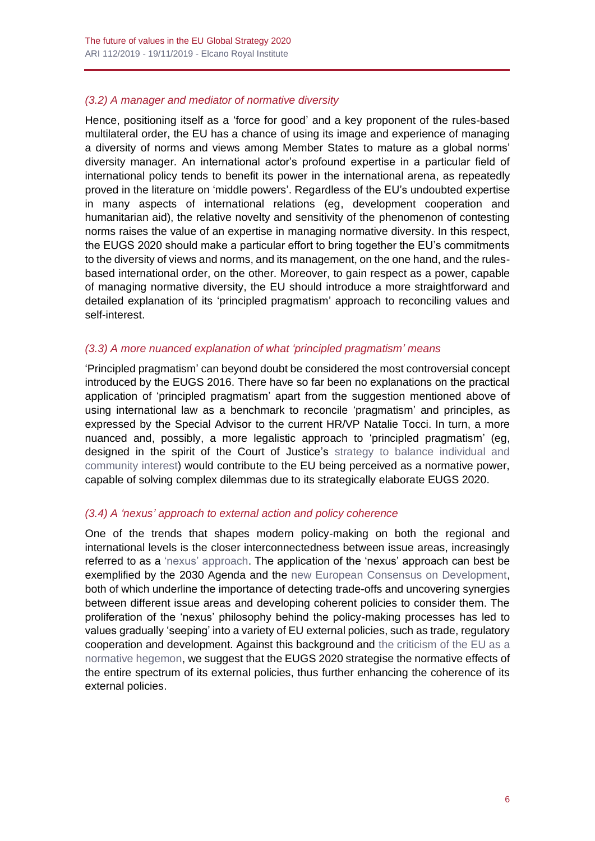## *(3.2) A manager and mediator of normative diversity*

Hence, positioning itself as a 'force for good' and a key proponent of the rules-based multilateral order, the EU has a chance of using its image and experience of managing a diversity of norms and views among Member States to mature as a global norms' diversity manager. An international actor's profound expertise in a particular field of international policy tends to benefit its power in the international arena, as repeatedly proved in the literature on 'middle powers'. Regardless of the EU's undoubted expertise in many aspects of international relations (eg, development cooperation and humanitarian aid), the relative novelty and sensitivity of the phenomenon of contesting norms raises the value of an expertise in managing normative diversity. In this respect, the EUGS 2020 should make a particular effort to bring together the EU's commitments to the diversity of views and norms, and its management, on the one hand, and the rulesbased international order, on the other. Moreover, to gain respect as a power, capable of managing normative diversity, the EU should introduce a more straightforward and detailed explanation of its 'principled pragmatism' approach to reconciling values and self-interest.

#### *(3.3) A more nuanced explanation of what 'principled pragmatism' means*

'Principled pragmatism' can beyond doubt be considered the most controversial concept introduced by the EUGS 2016. There have so far been no explanations on the practical application of 'principled pragmatism' apart from the suggestion mentioned above of using international law as a benchmark to reconcile 'pragmatism' and principles, as expressed by the Special Advisor to the current HR/VP Natalie Tocci. In turn, a more nuanced and, possibly, a more legalistic approach to 'principled pragmatism' (eg, designed in the spirit of the Court of Justice's [strategy to balance individual and](https://jeanmonnetprogram.org/archive/papers/04/040601.pdf)  [community interest\)](https://jeanmonnetprogram.org/archive/papers/04/040601.pdf) would contribute to the EU being perceived as a normative power, capable of solving complex dilemmas due to its strategically elaborate EUGS 2020.

#### *(3.4) A 'nexus' approach to external action and policy coherence*

One of the trends that shapes modern policy-making on both the regional and international levels is the closer interconnectedness between issue areas, increasingly referred to as a ['nexus' approach.](https://www.nature.com/articles/s41893-018-0135-8) The application of the 'nexus' approach can best be exemplified by the 2030 Agenda and the [new European Consensus on Development,](https://ec.europa.eu/europeaid/sites/devco/files/european-consensus-on-development-final-20170626_en.pdf) both of which underline the importance of detecting trade-offs and uncovering synergies between different issue areas and developing coherent policies to consider them. The proliferation of the 'nexus' philosophy behind the policy-making processes has led to values gradually 'seeping' into a variety of EU external policies, such as trade, regulatory cooperation and development. Against this background and the criticism [of the EU as a](https://blog.realinstitutoelcano.org/en/eu-almost-everybody-wants-to-be-in-everything/)  [normative hegemon,](https://blog.realinstitutoelcano.org/en/eu-almost-everybody-wants-to-be-in-everything/) we suggest that the EUGS 2020 strategise the normative effects of the entire spectrum of its external policies, thus further enhancing the coherence of its external policies.